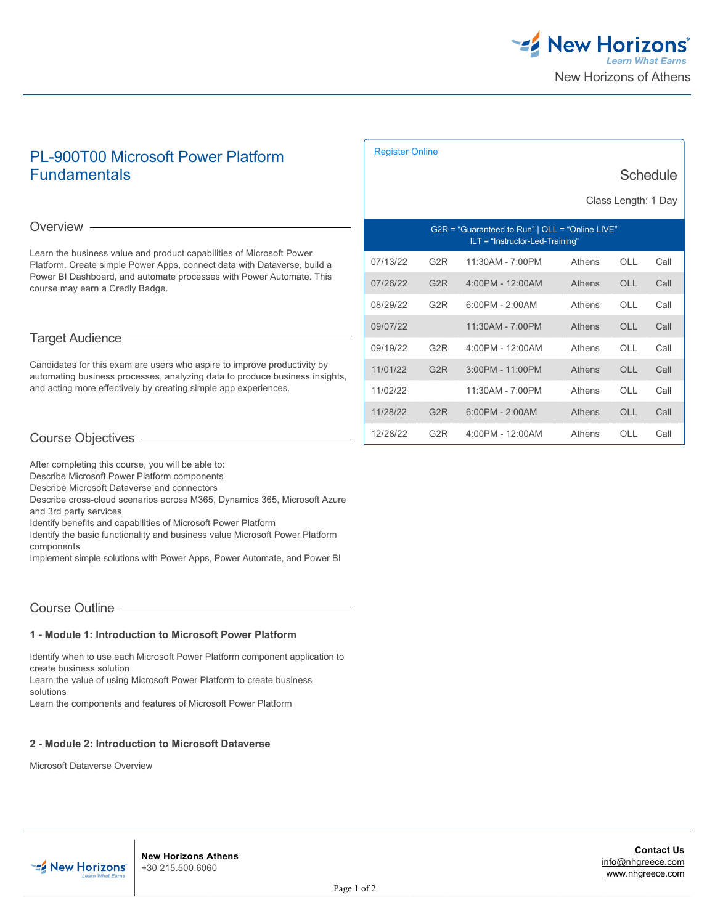

# PL-900T00 Microsoft Power Platform **Fundamentals**

#### [Register Online](https://www.nhgreece.com//en-us/training-and-certifications/course-outline/id/1035993026)

**Schedule** 

Class Length: 1 Day

#### Overview -

Learn the business value and product capabilities of Microsoft Power Platform. Create simple Power Apps, connect data with Dataverse, build a Power BI Dashboard, and automate processes with Power Automate. This course may earn a Credly Badge.

## Target Audience

Candidates for this exam are users who aspire to improve productivity by automating business processes, analyzing data to produce business insights, and acting more effectively by creating simple app experiences.

| $G2R = "Guaranteed to Run"   OLL = "Online LIVE"$<br>$ILT = "Instructor-Led-Training"$ |                  |                    |        |            |      |  |
|----------------------------------------------------------------------------------------|------------------|--------------------|--------|------------|------|--|
| 07/13/22                                                                               | G <sub>2</sub> R | 11:30AM - 7:00PM   | Athens | OLL        | Call |  |
| 07/26/22                                                                               | G <sub>2</sub> R | 4:00PM - 12:00AM   | Athens | OLL        | Call |  |
| 08/29/22                                                                               | G2R              | $6:00PM - 2:00AM$  | Athens | OLL        | Call |  |
| 09/07/22                                                                               |                  | 11:30AM - 7:00PM   | Athens | OLL        | Call |  |
| 09/19/22                                                                               | G <sub>2</sub> R | 4:00PM - 12:00AM   | Athens | OLL        | Call |  |
| 11/01/22                                                                               | G <sub>2</sub> R | $3:00PM - 11:00PM$ | Athens | <b>OLL</b> | Call |  |
| 11/02/22                                                                               |                  | 11:30AM - 7:00PM   | Athens | $\bigcap$  | Call |  |
| 11/28/22                                                                               | G2R              | $6:00PM - 2:00AM$  | Athens | OLL        | Call |  |
| 12/28/22                                                                               | G2R              | 4:00PM - 12:00AM   | Athens | OLL        | Call |  |

# Course Objectives

After completing this course, you will be able to:

Describe Microsoft Power Platform components

Describe Microsoft Dataverse and connectors

Describe cross-cloud scenarios across M365, Dynamics 365, Microsoft Azure and 3rd party services

Identify benefits and capabilities of Microsoft Power Platform

Identify the basic functionality and business value Microsoft Power Platform components

Implement simple solutions with Power Apps, Power Automate, and Power BI

# Course Outline

#### **1 - Module 1: Introduction to Microsoft Power Platform**

Identify when to use each Microsoft Power Platform component application to create business solution Learn the value of using Microsoft Power Platform to create business solutions Learn the components and features of Microsoft Power Platform

> **New Horizons Athens** +30 215.500.6060

#### **2 - Module 2: Introduction to Microsoft Dataverse**

Microsoft Dataverse Overview

**Contact Us** [info@nhgreece.com](mailto:info@nhgreece.com) [www.nhgreece.com](http://www.nhgreece.com)